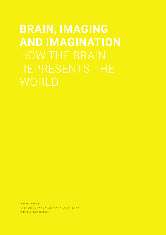# **BRAIN, IMAGING AND IMAGINATION** REPRESENTS THE

Pietro Pietrini IMT School for Advanced Studies Lucca pietro.pietrini@imtlucca.it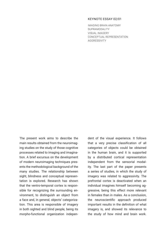### KEYNOTE ESSAY 02/01

IMAGING BRAIN ANATOMY SUPRAMODALITY VISUAL IMAGERY CONCEPTUAL REPRESENTATION **AGGRESSIVITY** 

The present work aims to describe the main results obtained from the neuroimaging studies on the study of those cognitive processes related to imaging and imagination. A brief excursus on the development of modern neuroimaging techniques presents the methodological background of the many studies. The relationship between sight, blindness and conceptual representation is explored. Research has shown that the ventro-temporal cortex is responsible for recognizing the surrounding environment, to distinguish an object from a face and, in general, objects' categorization. This area is responsible of imagery in both sighted and blind people, being its morpho-functional organization independent of the visual experience. It follows that a very precise classification of all categories of objects could be obtained in the human brain, and it is supported by a distributed cortical representation independent from the sensorial modality. The last part of the paper presents a series of studies, in which the study of imagery was related to aggressivity. The prefrontal cortex is deactivated when an individual imagines himself becoming aggressive, being this effect more relevant in females than in males. As a conclusion, the neuroscientific approach produced important results in the definition of what imagery is, and showed its relevance to the study of how mind and brain work.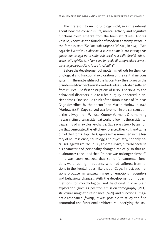The interest in brain morphology is old, so as the interest about how the conscious life, mental activity and cognitive functions could emerge from the brain structures. Andrea Vesalio, known as the founder of modern anatomy, wrote in the famous text "*De Humanis corporis Fabrica*", in 1543: "*Non nego che i ventricoli elaborino lo spirito animale, ma sostengo che questo non spiega nulla sulla sede cerebrale delle facoltà più elevate dello spirito. (...) Non sono in grado di comprendere come il cervello possa esercitare le sue funzioni*". (\*)

Before the development of modern methods for the morphological and functional exploration of the central nervous system, in the mid-eighties of the last century, the studies on the brain focused on the observation of individuals, who had suffered from injuries. The first descriptions of serious personality and behavioral disorders, due to a brain injury, appeared in ancient times. One should think of the famous case of Phineas Gage described by the doctor John Martin Harlow in 1848 (Harlow, 1848). Gage served as a foreman in the construction of the railway line in Windsor County, Vermont. One morning he was victim of an accident at work, following the accidental triggering of an explosive charge. Gage was struck by an iron bar that penetrated the left cheek, pierced the skull, and came out of the frontal top. The Gage case has remained in the history of neuroscience, neurology, and psychiatry, not only because Gage was miraculously able to survive, but also because his character and personality changed radically, so that acquaintances concluded that "Phineas was no longer himself".

It was soon realized that some fundamental functions were lacking in patients, who had suffered from lesions in the frontal lobes, like that of Gage. In fact, such lesions produce an unusual range of emotional, cognitive and behavioral changes. With the development of modern methods for morphological and functional in vivo brain exploration (such as positron emission tomography [PET], structural magnetic resonance [MRI] and functional magnetic resonance [fMRI]), it was possible to study the fine anatomical and functional architecture underlying the sev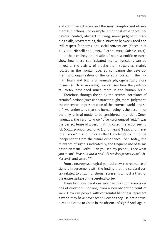eral cognitive activities and the most complex and elusive mental functions. For example, emotional experience, behavioral control, abstract thinking, moral judgment, planning skills, programming, the distinction between good and evil, respect for norms, and social conventions (Koechlin et al., 2000; Nichelli et al., 1994; Pietrini, 2003; Raichle, 1994).

In their entirety, the results of neuroscientific research show how these sophisticated mental functions can be linked to the activity of precise brain structures, mainly located in the frontal lobe. By comparing the development and organization of the cerebral cortex in the human brain and brains of animals phylogenetically close to man (such as monkeys), we can see how the prefrontal cortex developed much more in the human brain.

Therefore, through the study the cerebral correlates of certain functions (such as abstract thought, moral judgment, the conceptual representation of the external world, and so on), we understand that the human being is the best, if not the only, animal model to be considered. In ancient Greek language, the verb "to know" oἶδα (pronounced "oida") was the perfect tense of a verb that indicated the act of seeing (cf.  $\dot{\mathsf{Q}}$ ράω, pronounced "orao"), and meant "I saw, and therefore I know". It also indicates that knowledge could not be independent from the visual experience. Even today, the relevance of sight is indicated by the frequent use of terms based on visual verbs: "Can you see my point?", "I see what you mean", "*Vedere la vita in rosa*", "*Stravedere per qualcuno*", "*Arrivederci*", and so on. (\*\*)

From a neurophysiological point of view, the relevance of sight is in agreement with the finding that the cerebral cortex related to visual functions represents almost a third of the entire surface of the cerebral cortex.

These first considerations give rise to a spontaneous series of questions, not only from a neuroscientific point of view. How can people with congenital blindness represent a world they have never seen? How do they use brain structures dedicated to vision in the absence of sight? And, again,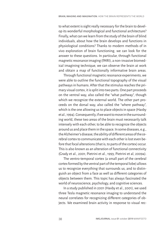to what extent is sight really necessary for the brain to develop its wonderful morphological and functional architecture? Finally, what can we learn from the study of the brain of blind individuals, about how the brain develops and functions in physiological conditions? Thanks to modern methods of in vivo exploration of brain functioning, we can look for the answer to these questions. In particular, through functional magnetic resonance imaging (fMRI), a non-invasive biomedical imagining technique, we can observe the brain at work and obtain a map of functionally informative brain areas.

Through functional magnetic resonance experiments, we were able to outline the functional topography of the visual pathways in humans. After that the stimulus reaches the primary visual cortex, it is split into two parts. One part proceeds on the ventral way, also called the "what pathway", though which we recognize the external world. The other part proceeds on the dorsal way, also called the "where pathway", which is the one allowing us to place objects in space (Haxby et al., 1994). Consequently, if we want to move in the surrounding world, these two areas of the brain must necessarily talk intensely with each other, to be able to recognize the objects around us and place them in the space. In some diseases, e.g., the Alzheimer's disease, the ability of different areas of the cerebral cortex to communicate with each other is lost even before that focal alterations (that is, to parts of the cortex) occur. This is also known as an alteration of functional connectivity (Grady et al., 2001; Pietrini et al., 1993; Pietrini et al, 2009a).

The ventro-temporal cortex (a small part of the cerebral cortex formed by the ventral part of the temporal lobe) allows us to recognize everything that surrounds us, and to distinguish an object from a face as well as different categories of objects between them. This topic has always fascinated the world of neuroscience, psychology, and cognitive sciences.

In a study published in 2001 (Haxby et al., 2001), we used three Tesla magnetic resonance imaging to understand the neural correlates for recognizing different categories of objects. We examined brain activity in response to visual rec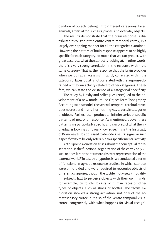ognition of objects belonging to different categories: faces, animals, artificial tools, chairs, places, and everyday objects.

The results demonstrate that the brain response is distributed throughout the entire ventro-temporal cortex, in a largely overlapping manner for all the categories examined. However, the pattern of brain response appears to be highly specific for each category, so much that we can predict, with great accuracy, what the subject is looking at. In other words, there is a very strong correlation in the response within the same category. That is, the response that the brain provides when we look at a face is significantly correlated within the category of faces, but it is not correlated with the response obtained with brain activity related to other categories. Therefore, we can state the existence of a categorical specificity.

The study by Haxby and colleagues (2001) led to the development of a new model called Object Form Topography. According to this model, the ventral-temporal cerebral cortex does not respond in an all-or-nothing way to certain categories of objects. Rather, it can produce an infinite series of specific patterns of neuronal response. As mentioned above, these patterns are particularly specific and can predict what the individual is looking at. To our knowledge, this is the first study of Brain Reading, addressed to decode a neural signal in such a specific way to be only referable to a specific mental activity.

At this point, a question arises about the conceptual representation: is the functional organization of the cortex only visual or does it represent a more abstract representation of the external world? To test this hypothesis, we conducted a series of functional magnetic resonance studies, in which subjects were blindfolded and were required to recognize objects of different categories, though the tactile (not visual) modality.

Subjects had to perceive objects with their own hands, for example, by touching casts of human faces or other types of objects, such as shoes or bottles. The tactile exploration showed a strong activation, not only of the somatosensory cortex, but also of the ventro-temporal visual cortex, congruently with what happens for visual recogni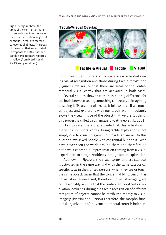**Fig. 1** The figure shows the areas of the ventral-temporal cortex activated in response to the visual perception (in green) or tactile (in red) of different categories of objects. The areas of the cortex that are activated in response to both visual and tactile perception are reported in yellow (from Pietrini et al., PNAS, 2004, modified).

### **Tactile/Visual Overlap**



#### Tactile & Visual Tactile **Visual**

tion. If we superimpose and compare areas activated during visual recognition and those during tactile recognition (Figure 1), we realize that there are areas of the ventrotemporal visual cortex that are activated in both cases.

Several studies show that there is not big difference for the brain between seeing something concretely or imagining to seeing it (Pearson et al., 2015). It follows that, if we touch an object and explore it with our touch, we immediately evoke the visual image of the object that we are touching: this process is called visual imagery (Cattaneo et al., 2008).

How can we, therefore, exclude that this activation in the ventral-temporal cortex during tactile exploration is not simply due to visual imagery? To provide an answer to this question, we asked people with congenital blindness - who have never seen the world around them and therefore do not have a conceptual representation coming from a visual experience - to recognize objects through tactile exploration.

As shown in Figure 2, the visual cortex of these subjects is activated in the same way and with the same categorical specificity as in the sighted persons, when they see or touch the same object. Given that the congenital blind person has no visual experience and, therefore, no visual imagery, we can reasonably assume that the ventro-temporal cortical activation, occurring during the tactile recognition of different categories of objects, cannot be attributed merely to visual imagery (Pietrini et al., 2004).Therefore, the morpho-functional organization of the ventro-temporal cortex is indepen-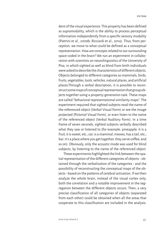dent of the visual experience. This property has been defined as supramodality, which is the ability to process perceptual information independently from a specific sensory modality (Pietrini et al., 2009b; Ricciardi et al., 2014). Thus, from perception, we move to what could be defined as a conceptual representation. How are concepts related to our surrounding space coded in the brain? We run an experiment in collaboration with scientists on neurolinguistics of the University of Pisa, in which sighted as well as blind from birth individuals were asked to describe the characteristics of different objects. Objects belonged to different categories as mammals, birds, fruits, vegetables, tools, vehicles, natural places, and artificial places.Through a verbal description, it is possible to reconstruct some maps of conceptual representation that group objects together using a property-generation task. These maps are called "behavioral representational similarity maps". The experiment required that sighted subjects read the name of the referenced object (Verbal Visual Form) or see the image projected (Pictorial Visual Form), or even listen to the name of the referenced object (Verbal Auditory Form). In a time frame of seven seconds, sighted subjects verbally described what they saw or listened to (for example: pineapple: it is a fruit, it is sweet, etc.; cat: is a mammal, meows, has a tail, etc.; bar: it's a place where you get together, they serve coffee; and so on). Obviously, only the acoustic mode was used for blind subjects, by listening to the name of the referenced object.

These experiments highlighted the link between the spatial representation of the different categories of objects - obtained through the verbalization of the categories - and the possibility of reconstructing the conceptual maps of the objects - based on the patterns of cerebral activation. If we then analyze the whole brain, instead of the visual cortex only, both the correlation and a notable improvement in the segregation between the different objects occurs. Then, a very precise classification of all categories of objects (separated from each other) could be obtained when all the areas that cooperate to this classification are included in the analysis.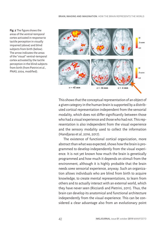**Fig. 2** The figure shows the areas of the ventral-temporal cortex activated in response to tactile perception in visually impaired (above) and blind subjects from birth (below). The arrow indicates the areas of the "visual" ventral-temporal cortex activated by the tactile perception in the blind subjects from birth (from Pietrini et al., PNAS, 2004, modified).



This shows that the conceptual representation of an object of a given category in the human brain is supported by a distributed cortical representation independent from the sensorial modality, which does not differ significantly between those who had a visual experience and those who had not. This representation is also independent from the visual experience and the sensory modality used to collect the information (Handjaras et al, 2016, 2017).

The existence of functional cortical organization, more abstract than what was expected, shows how the brain is programmed to develop independently from the visual experience. It is not yet known how much the brain is genetically programmed and how much it depends on stimuli from the environment, although it is highly probable that the brain needs *some* sensorial experience, anyway. Such an organization allows individuals who are blind from birth to acquire knowledge, to create mental representations, to learn from others and to actually interact with an external world, which they have never seen (Ricciardi and Pietrini, 2011). Thus, the brain can develop its anatomical and functional architecture independently from the visual experience. This can be considered a clear advantage also from an evolutionary point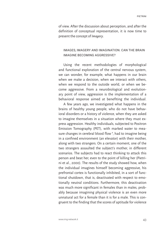of view. After the discussion about perception, and after the definition of conceptual representation, it is now time to present the concept of *Imagery*.

# IMAGES, IMAGERY AND IMAGINATION. CAN THE BRAIN IMAGINE BECOMING AGGRESSIVE?

Using the recent methodologies of morphological and functional exploration of the central nervous system, we can wonder, for example, what happens in our brain when we make a decision, when we interact with others, when we respond to the outside world, or when we become aggressive. From a neurobiological and evolutionary point of view, aggression is the implementation of a behavioral response aimed at benefiting the individual.

A few years ago, we investigated what happens in the brains of healthy young people, who do not have behavioral disorders or a history of violence, when they are asked to imagine themselves in a situation where they must express aggression. Healthy individuals, subjected to Positron Emission Tomography (PET), with marked water to measure changes in cerebral blood flow **<sup>1</sup>** , had to imagine being in a confined environment (an elevator) with their mother, along with two strangers. On a certain moment, one of the two strangers assaulted the subject's mother, in different scenarios. The subjects had to react thinking to attack this person and beat her, even to the point of killing her (Pietrini et al., 2000). The results of the study showed how, when the individual imagines himself becoming aggressive, his prefrontal cortex is functionally inhibited, in a sort of functional shutdown, that is, deactivated with respect to emotionally neutral conditions. Furthermore, this deactivation was much more significant in females than in males, probably because imagining physical violence is an even more unnatural act for a female than it is for a male. This is congruent to the finding that the scores of aptitude for violence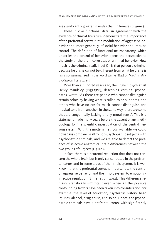are significantly greater in males than in females (Figure 3).

These in vivo functional data, in agreement with the evidence of clinical literature, demonstrate the importance of the prefrontal cortex in the modulation of aggressive behavior and, more generally, of social behavior and impulse control. The definition of functional neuroanatomy, which underlies the control of behavior, opens the perspective to the study of the brain correlates of criminal behavior. How much is the criminal really free? Or, is that person a criminal because he or she cannot be different from what he or she is (as also summarized in the word game "Bad or Mad" in Anglo-Saxon literature)?

More than a hundred years ago, the English psychiatrist Henry Maudsley (1835-1918), describing criminal psychopaths, wrote: "As there are people who cannot distinguish certain colors by having what is called color blindness, and others who have no ear for music cannot distinguish one musical tone from another, in the same way, there are some that are congenitally lacking of any moral sense". This is a statement made many years before the advent of any methodology for the scientific investigation of the central nervous system. With the modern methods available, we could nowadays compare healthy non-psychopathic subjects with psychopathic criminals, and we are able to detect the presence of selective anatomical brain differences between the two groups of subjects (Figure 4).

In fact, there is a neuronal reduction that does not concern the whole brain but is only concentrated in the prefrontal cortex and in some areas of the limbic system. It is well known that the prefrontal cortex is important to the control of aggressive behavior and the limbic system to emotionalaffective regulation (Ermer et al., 2012). This difference remains statistically significant even when all the possible confounding factors have been taken into consideration, for example: the level of education, psychiatric history, head injuries, alcohol, drug abuse, and so on. Hence, the psychopathic criminals have a prefrontal cortex with significantly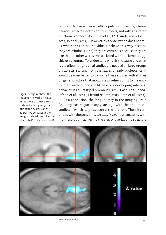reduced thickness, nerve cells population (over 20% fewer neurons) with respect to control subjects, and with an altered functional connectivity (Ermer et al., 2012; Anderson & Kiehl, 2012; Ly et al., 2012). However, this observation does not tell us whether a) these individuals behave this way because they are criminals, or b) they are criminals because they are like that. In other words, we are faced with the famous eggchicken dilemma. To understand what is the cause and what is the effect, longitudinal studies are needed on large groups of subjects, starting from the stages of early adolescence. It would be even better to combine these studies with studies on genetic factors that modulate a) vulnerability to the environment in childhood and b) the risk of developing antisocial behavior in adults (Byrd & Manuck, 2014; Caspi et al., 2002; Iofrida et al., 2014 ; Pietrini & Rota, 2013; Rota et al., 2014).

As a conclusion, the long journey in the Imaging Brain Anatomy has begun many years ago with the anatomical studies, in which Italy has been at the forefront. Then, it continued with the possibility to study *in vivo* neuroanatomy with high-resolution, achieving the step of overlapping structure



www.img-network.it 45

**Fig. 3** The figure shows the reduction in work (in blue) in the areas of the prefrontal cortex of healthy subjects during the expression of aggressive behavior at the imaginary level (from Pietrini et al., PNAS, 2004, modified)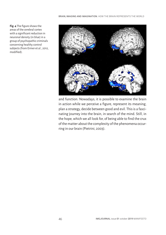**Fig. 4** The figure shows the areas of the cerebral cortex with a significant reduction in neuronal density (in blue) in a group of psychopathic criminals concerning healthy control subjects (from Ermer et al., 2012, modified).



and function. Nowadays, it is possible to examine the brain in action while we perceive a figure, represent its meaning, plan a strategy, decide between good and evil. This is a fascinating journey into the brain, in search of the mind. Still, in the hope, which we all look for, of being able to find the crux of the matter about the complexity of the phenomena occurring in our brain (Pietrini, 2003).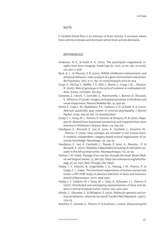#### **NOTE**

**1** Cerebral blood flow is an indicator of brain activity: it increases where brain activity increases and decreases where brain activity decreases.

## **REFERENCES**

- Anderson, N. E., & Kiehl, K. A. (2012). The psychopath magnetized: insights from brain imaging. *Trends Cogn Sci*, *16*(1), 52-60. doi: 10.1016/j. tics.2011.11.008
- Byrd, A. L., & Manuck, S. B. (2014). MAOA, childhood maltreatment, and antisocial behavior: meta-analysis of a gene-environment interaction. *Biol Psychiatry*, *75*(1), 9-17. doi: 10.1016/j.biopsych.2013.05.004
- Caspi, A., McClay, J., Moffitt, T. E., Mill, J., Martin, J., Craig, I. W., …Poulton, R. (2002). Role of genotype in the cycle of violence in maltreated children. *Science*, *297*(5582), 851-854.
- Cattaneo, Z., Vecchi, T., Cornoldi, C., Mammarella, I., Bonino, D., Ricciardi, E., &Pietrini, P. (2008). Imagery and spatial processes in blindness and visual impairment. *Neurosci Biobehav Rev*, *32*,1346-60.
- Ermer, E., Cope, L. M., Nyalakanti, P. K., Calhoun, V. D., & Kiehl, K. A. (2012). Aberrant paralimbic gray matter in criminal psychopathy. *J Abnorm Psychol*, *121*(3), 649-58. doi: 10.1037/a0026371
- Grady, C. L., Furey, M. L., Pietrini, P., Horwitz, & Schapiro, M. B. (2001). Rapoport SI. Altered brain functional connectivity and impaired short-term memory in Alzheimer's disease. *Brain*, *124*, 739-756.
- Handjaras, G., Ricciardi, E., Leo, A., Lenci, A., Cecchetti, L., Cosottini, M., …Pietrini, P. (2016). How concepts are encoded in the human brain: A modality independent, category-based cortical organization of semantic knowledge. *Neuroimage*, *135*, 232-42.
- Handjaras, G., Leo, A., Cecchetti, L., Papale, P., Lenci, A., Marotta, …P., & Ricciardi, E. (2017). Modality-independent encoding of individual concepts in the left parietal cortex. *Neuropsychologia*, *105*, 39-49.
- Harlow, J. M. (1848). Passage of an iron bar through the head. *Boston Medical and Surgical Journal*, *13*, 389-393. https://en.wikisource.org/wiki/Passage of an Iron Rod Through the Head
- Haxby, J. V., Horwitz, B., Ungerleider, L. G., Maisog, J. M., Pietrini, P., & Grady, C. L. (1994). The functional organization of human extrastriate cortex: a PET-rCBF study of selective attention to faces and locations. *Journal of Neuroscience*, *14*(11), 6336-6353.
- Haxby, J. V., Gobbini, M. I., Furey, M. L., Ishai, A., Schouten, J. L., Pietrini, P. (2001). Distributed and overlapping representations of faces and objects in ventral temporal cortex. *Science*, *293*, 2425-2431.
- Iofrida, C., Palumbo, S., & Pellegrini, S. (2014). Molecular genetics and antisocial behavior: where do we stand? *Exp Biol Med (Maywood)*: *239*(11), 1514-23.
- Koechlin, E., Corrado, G., Pietrini, P., & Grafman, J. (2000). Dissociating the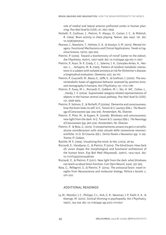role of medial and lateral anterior prefrontal cortex in human planning. *Proc Natl Acad Sci (USA)*, *97*, 7651-7656.

- Nichelli, P., Grafman, J., Pietrini, P., Always, D., Carton, J. C., & Miletich, R. (1994). Brain activity in chess playing. *Nature*, 369, 6447, 191. doi: 10.1038/369191a0
- Pearson, J., Naselaris, T., Holmes, E. A., & Kosslyn, S. M. (2015). Mental Imagery: Functional Mechanisms and Clinical Applications. *Trends in Cognitive Sciences*, 19(10), 590-602.
- Pietrini, P. (2003). Toward a biochemistry of mind? [Letter to the editor]. *Am J Psychiatry*, 160(11), 1907-1908. doi: 10.1176/appi.ajp.160.11.1907
- Pietrini, P., Azari, N. P., Grady, C. L., Salerno, J. A., Gonzales-Aviles, A., Heston, L., …Schapiro, M. B. (1993). Pattern of cerebral metabolic interactions in a subject with isolated amnesia at risk for Alzheimer's disease: a longitudinal evaluation. *Dementia*, 4(2), 94-101.
- Pietrini, P., Guazzelli, M., Basso, G., Jaffe, K., & Grafman, J. (2000). The neurometabolic bases of aggressive behavior assessed by positron emission tomography in humans. Am J Psychiatry, 157, 1772-1781.
- Pietrini, P., Furey, M. L., Ricciardi, E., Gobbini, M. I., Wu, H. WC., Cohen, L., …Haxby, J. V. (2004). Supramodal category-related representations of objects in the human ventral visual pathway. *Proc Natl Acad Sci (USA)*, *101*, 5658-5663.
- Pietrini, P., Salmon, E., & Nichelli, P. (2009a). Dementia and consciousness: how the brain loses its self. In G. Tononi & S. Laureys (Eds.). *The Neurology of Consciousness* (pp. 294-316). Amsterdam, NL: Elsevier.
- Pietrini, P., Ptito, M., & Kupers, R. (2009b). Blindness and consciousness: new light from the dark. In G. Tononi & S. Laureys (Eds.). *The Neurology of Consciousness* (pp. 360-374). Amsterdam, NL: Elsevier.
- Pietrini, P., & Rota, G. (2013). Il comportamento umano tra geni e cervello: alcune considerazioni sullo stato attuale delle conoscenze neuroscientifiche. In O. Di Giovine (Ed.). *Diritto Penale e Neuroetica* (pp. 11-26). Trento, IT: Cedam.
- Raichle, M. E. (1994). Visualizing the mind. *Sci Am, 270*(4), 58-64.
- Ricciardi, E., Handjaras, G., & Pietrini, P. (2014). The blind brain: How (lack of) vision shapes the morphological and functional architecture of the human brain. Exp Biol Med (Maywood), 239(11), 1414-1420. doi: 10.1177/1535370214538740
- Ricciardi, E., & Pietrini, P. (2011). New light from the dark: what blindness can teach us about brain function. Curr Opin Neurol, 24(4), 357-363.
- Rota, G., Pellegrini, S., & Pietrini, P. (2014). The antisocial brain: novel insights from Neuroscience and molecular biology. *Politica e Società*, *2*, 201-220.

## ADDITIONAL READINGS

Ly, M., Motzkin, J. C., Philippi, C.L., Kirk, G. R., Newman, J. P., Kiehl, K. A., & Koenigs, M. (2012). Cortical thinning in psychopathy. Am J Psychiatry, 169(7), 743-749. doi: 10.1176/appi.ajp.2012.11111627